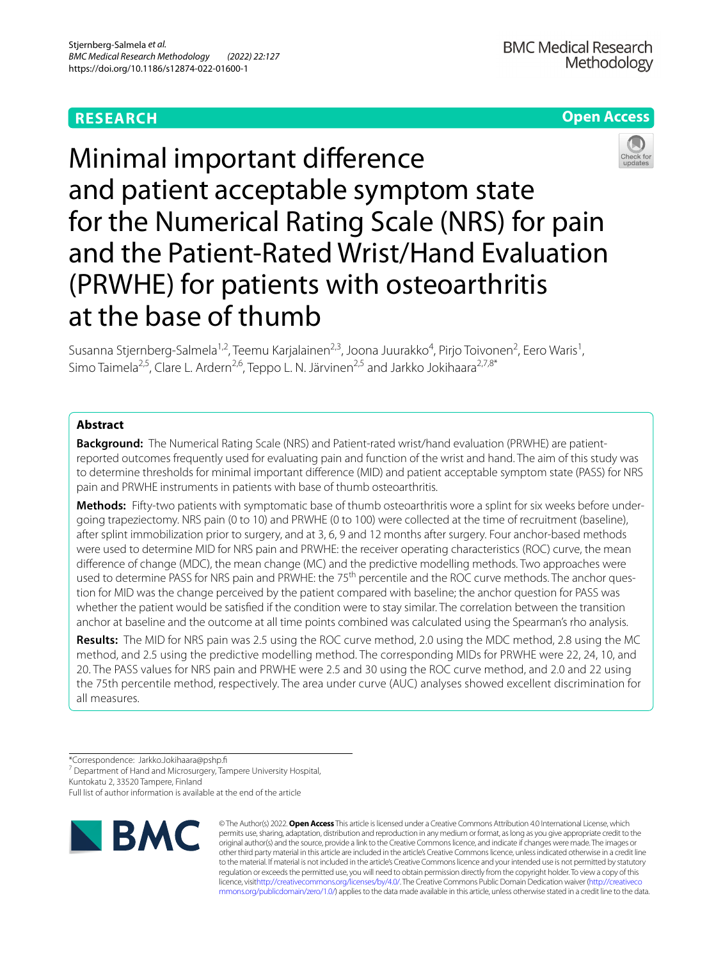# **RESEARCH**

# **Open Access**



# Minimal important diference and patient acceptable symptom state for the Numerical Rating Scale (NRS) for pain and the Patient‑Rated Wrist/Hand Evaluation (PRWHE) for patients with osteoarthritis at the base of thumb

Susanna Stjernberg-Salmela<sup>1,2</sup>, Teemu Karjalainen<sup>2,3</sup>, Joona Juurakko<sup>4</sup>, Pirjo Toivonen<sup>2</sup>, Eero Waris<sup>1</sup>, Simo Taimela<sup>2,5</sup>, Clare L. Ardern<sup>2,6</sup>, Teppo L. N. Järvinen<sup>2,5</sup> and Jarkko Jokihaara<sup>2,7,8\*</sup>

# **Abstract**

**Background:** The Numerical Rating Scale (NRS) and Patient-rated wrist/hand evaluation (PRWHE) are patientreported outcomes frequently used for evaluating pain and function of the wrist and hand. The aim of this study was to determine thresholds for minimal important diference (MID) and patient acceptable symptom state (PASS) for NRS pain and PRWHE instruments in patients with base of thumb osteoarthritis.

Methods: Fifty-two patients with symptomatic base of thumb osteoarthritis wore a splint for six weeks before undergoing trapeziectomy. NRS pain (0 to 10) and PRWHE (0 to 100) were collected at the time of recruitment (baseline), after splint immobilization prior to surgery, and at 3, 6, 9 and 12 months after surgery. Four anchor-based methods were used to determine MID for NRS pain and PRWHE: the receiver operating characteristics (ROC) curve, the mean diference of change (MDC), the mean change (MC) and the predictive modelling methods. Two approaches were used to determine PASS for NRS pain and PRWHE: the 75<sup>th</sup> percentile and the ROC curve methods. The anchor question for MID was the change perceived by the patient compared with baseline; the anchor question for PASS was whether the patient would be satisfed if the condition were to stay similar. The correlation between the transition anchor at baseline and the outcome at all time points combined was calculated using the Spearman's rho analysis.

**Results:** The MID for NRS pain was 2.5 using the ROC curve method, 2.0 using the MDC method, 2.8 using the MC method, and 2.5 using the predictive modelling method. The corresponding MIDs for PRWHE were 22, 24, 10, and 20. The PASS values for NRS pain and PRWHE were 2.5 and 30 using the ROC curve method, and 2.0 and 22 using the 75th percentile method, respectively. The area under curve (AUC) analyses showed excellent discrimination for all measures.

<sup>7</sup> Department of Hand and Microsurgery, Tampere University Hospital,

Kuntokatu 2, 33520 Tampere, Finland

Full list of author information is available at the end of the article



© The Author(s) 2022. **Open Access** This article is licensed under a Creative Commons Attribution 4.0 International License, which permits use, sharing, adaptation, distribution and reproduction in any medium or format, as long as you give appropriate credit to the original author(s) and the source, provide a link to the Creative Commons licence, and indicate if changes were made. The images or other third party material in this article are included in the article's Creative Commons licence, unless indicated otherwise in a credit line to the material. If material is not included in the article's Creative Commons licence and your intended use is not permitted by statutory regulation or exceeds the permitted use, you will need to obtain permission directly from the copyright holder. To view a copy of this licence, visi[thttp://creativecommons.org/licenses/by/4.0/](http://creativecommons.org/licenses/by/4.0/). The Creative Commons Public Domain Dedication waiver [\(http://creativeco](http://creativecommons.org/publicdomain/zero/1.0/) [mmons.org/publicdomain/zero/1.0/](http://creativecommons.org/publicdomain/zero/1.0/)) applies to the data made available in this article, unless otherwise stated in a credit line to the data.

<sup>\*</sup>Correspondence: Jarkko.Jokihaara@pshp.f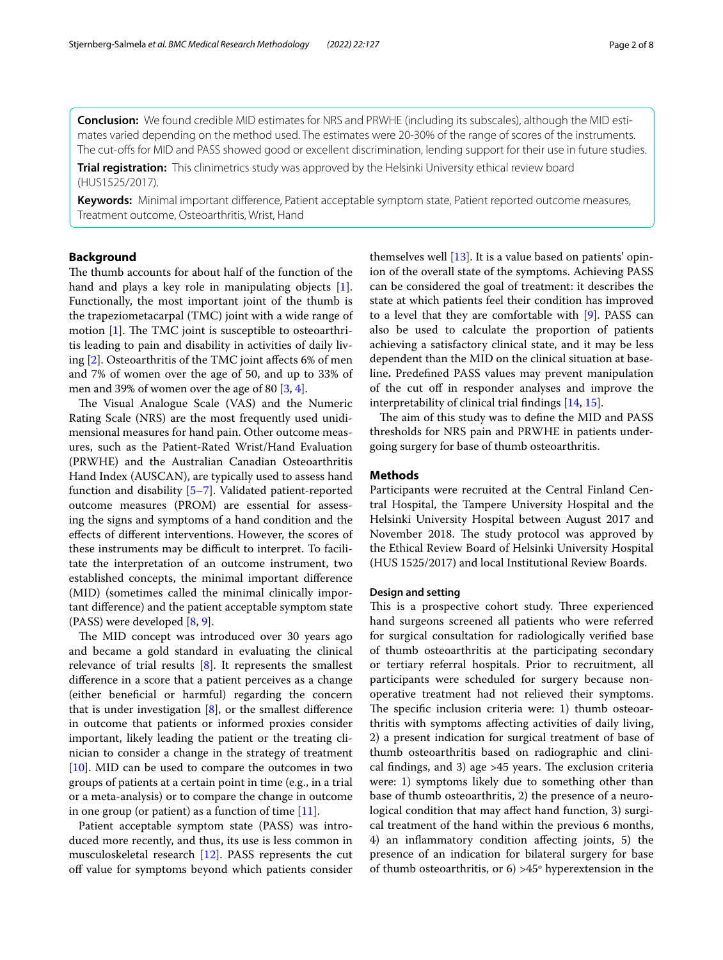**Conclusion:** We found credible MID estimates for NRS and PRWHE (including its subscales), although the MID esti‑ mates varied depending on the method used. The estimates were 20-30% of the range of scores of the instruments. The cut-ofs for MID and PASS showed good or excellent discrimination, lending support for their use in future studies.

**Trial registration:** This clinimetrics study was approved by the Helsinki University ethical review board (HUS1525/2017).

**Keywords:** Minimal important diference, Patient acceptable symptom state, Patient reported outcome measures, Treatment outcome, Osteoarthritis, Wrist, Hand

# **Background**

The thumb accounts for about half of the function of the hand and plays a key role in manipulating objects [\[1](#page-6-0)]. Functionally, the most important joint of the thumb is the trapeziometacarpal (TMC) joint with a wide range of motion  $[1]$  $[1]$ . The TMC joint is susceptible to osteoarthritis leading to pain and disability in activities of daily living [[2\]](#page-6-1). Osteoarthritis of the TMC joint afects 6% of men and 7% of women over the age of 50, and up to 33% of men and 39% of women over the age of 80 [[3,](#page-6-2) [4](#page-6-3)].

The Visual Analogue Scale (VAS) and the Numeric Rating Scale (NRS) are the most frequently used unidimensional measures for hand pain. Other outcome measures, such as the Patient-Rated Wrist/Hand Evaluation (PRWHE) and the Australian Canadian Osteoarthritis Hand Index (AUSCAN), are typically used to assess hand function and disability [[5](#page-6-4)[–7](#page-6-5)]. Validated patient-reported outcome measures (PROM) are essential for assessing the signs and symptoms of a hand condition and the efects of diferent interventions. However, the scores of these instruments may be difficult to interpret. To facilitate the interpretation of an outcome instrument, two established concepts, the minimal important diference (MID) (sometimes called the minimal clinically important diference) and the patient acceptable symptom state (PASS) were developed [[8,](#page-6-6) [9](#page-6-7)].

The MID concept was introduced over 30 years ago and became a gold standard in evaluating the clinical relevance of trial results [[8\]](#page-6-6). It represents the smallest diference in a score that a patient perceives as a change (either benefcial or harmful) regarding the concern that is under investigation  $[8]$  $[8]$ , or the smallest difference in outcome that patients or informed proxies consider important, likely leading the patient or the treating clinician to consider a change in the strategy of treatment [[10\]](#page-6-8). MID can be used to compare the outcomes in two groups of patients at a certain point in time (e.g., in a trial or a meta-analysis) or to compare the change in outcome in one group (or patient) as a function of time [\[11](#page-7-0)].

Patient acceptable symptom state (PASS) was introduced more recently, and thus, its use is less common in musculoskeletal research [\[12\]](#page-7-1). PASS represents the cut off value for symptoms beyond which patients consider themselves well [\[13](#page-7-2)]. It is a value based on patients' opinion of the overall state of the symptoms. Achieving PASS can be considered the goal of treatment: it describes the state at which patients feel their condition has improved to a level that they are comfortable with [\[9\]](#page-6-7). PASS can also be used to calculate the proportion of patients achieving a satisfactory clinical state, and it may be less dependent than the MID on the clinical situation at baseline**.** Predefned PASS values may prevent manipulation of the cut off in responder analyses and improve the interpretability of clinical trial fndings [[14,](#page-7-3) [15\]](#page-7-4).

The aim of this study was to define the MID and PASS thresholds for NRS pain and PRWHE in patients undergoing surgery for base of thumb osteoarthritis.

# **Methods**

Participants were recruited at the Central Finland Central Hospital, the Tampere University Hospital and the Helsinki University Hospital between August 2017 and November 2018. The study protocol was approved by the Ethical Review Board of Helsinki University Hospital (HUS 1525/2017) and local Institutional Review Boards.

#### **Design and setting**

This is a prospective cohort study. Three experienced hand surgeons screened all patients who were referred for surgical consultation for radiologically verifed base of thumb osteoarthritis at the participating secondary or tertiary referral hospitals. Prior to recruitment, all participants were scheduled for surgery because nonoperative treatment had not relieved their symptoms. The specific inclusion criteria were: 1) thumb osteoarthritis with symptoms afecting activities of daily living, 2) a present indication for surgical treatment of base of thumb osteoarthritis based on radiographic and clinical findings, and 3) age  $>45$  years. The exclusion criteria were: 1) symptoms likely due to something other than base of thumb osteoarthritis, 2) the presence of a neurological condition that may afect hand function, 3) surgical treatment of the hand within the previous 6 months, 4) an infammatory condition afecting joints, 5) the presence of an indication for bilateral surgery for base of thumb osteoarthritis, or 6) >45º hyperextension in the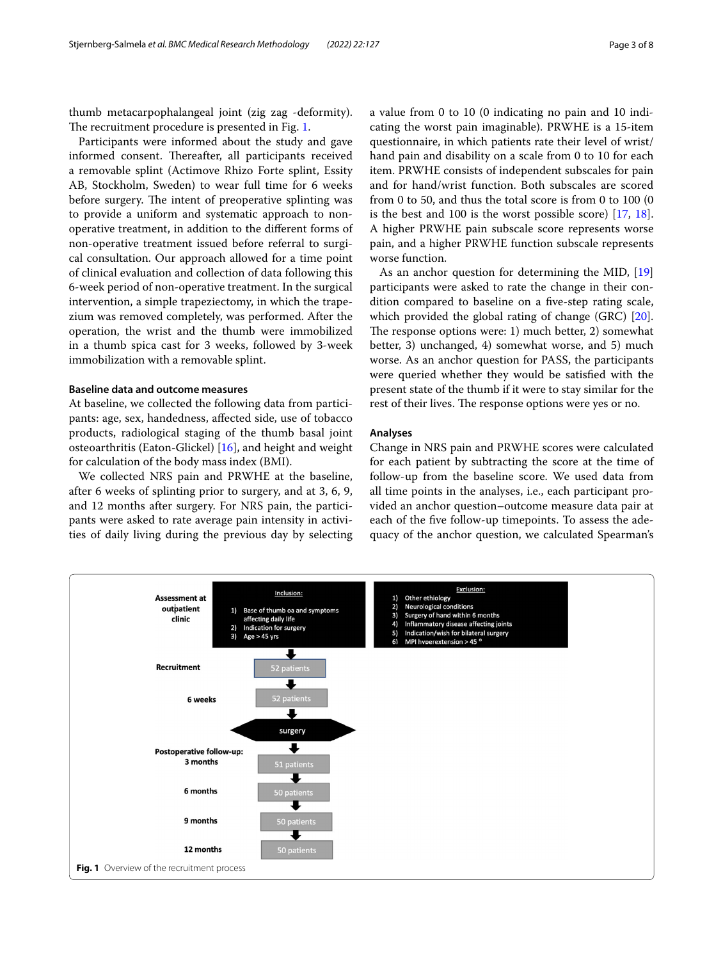thumb metacarpophalangeal joint (zig zag -deformity). The recruitment procedure is presented in Fig. [1.](#page-2-0)

Participants were informed about the study and gave informed consent. Thereafter, all participants received a removable splint (Actimove Rhizo Forte splint, Essity AB, Stockholm, Sweden) to wear full time for 6 weeks before surgery. The intent of preoperative splinting was to provide a uniform and systematic approach to nonoperative treatment, in addition to the diferent forms of non-operative treatment issued before referral to surgical consultation. Our approach allowed for a time point of clinical evaluation and collection of data following this 6-week period of non-operative treatment. In the surgical intervention, a simple trapeziectomy, in which the trapezium was removed completely, was performed. After the operation, the wrist and the thumb were immobilized in a thumb spica cast for 3 weeks, followed by 3-week immobilization with a removable splint.

# **Baseline data and outcome measures**

At baseline, we collected the following data from participants: age, sex, handedness, afected side, use of tobacco products, radiological staging of the thumb basal joint osteoarthritis (Eaton-Glickel) [\[16](#page-7-5)], and height and weight for calculation of the body mass index (BMI).

We collected NRS pain and PRWHE at the baseline, after 6 weeks of splinting prior to surgery, and at 3, 6, 9, and 12 months after surgery. For NRS pain, the participants were asked to rate average pain intensity in activities of daily living during the previous day by selecting a value from 0 to 10 (0 indicating no pain and 10 indicating the worst pain imaginable). PRWHE is a 15-item questionnaire, in which patients rate their level of wrist/ hand pain and disability on a scale from 0 to 10 for each item. PRWHE consists of independent subscales for pain and for hand/wrist function. Both subscales are scored from 0 to 50, and thus the total score is from 0 to 100 (0 is the best and 100 is the worst possible score) [[17,](#page-7-6) [18](#page-7-7)]. A higher PRWHE pain subscale score represents worse pain, and a higher PRWHE function subscale represents worse function.

As an anchor question for determining the MID, [[19](#page-7-8)] participants were asked to rate the change in their condition compared to baseline on a fve-step rating scale, which provided the global rating of change (GRC) [\[20](#page-7-9)]. The response options were:  $1)$  much better,  $2)$  somewhat better, 3) unchanged, 4) somewhat worse, and 5) much worse. As an anchor question for PASS, the participants were queried whether they would be satisfed with the present state of the thumb if it were to stay similar for the rest of their lives. The response options were yes or no.

#### **Analyses**

Change in NRS pain and PRWHE scores were calculated for each patient by subtracting the score at the time of follow-up from the baseline score. We used data from all time points in the analyses, i.e., each participant provided an anchor question–outcome measure data pair at each of the fve follow-up timepoints. To assess the adequacy of the anchor question, we calculated Spearman's

<span id="page-2-0"></span>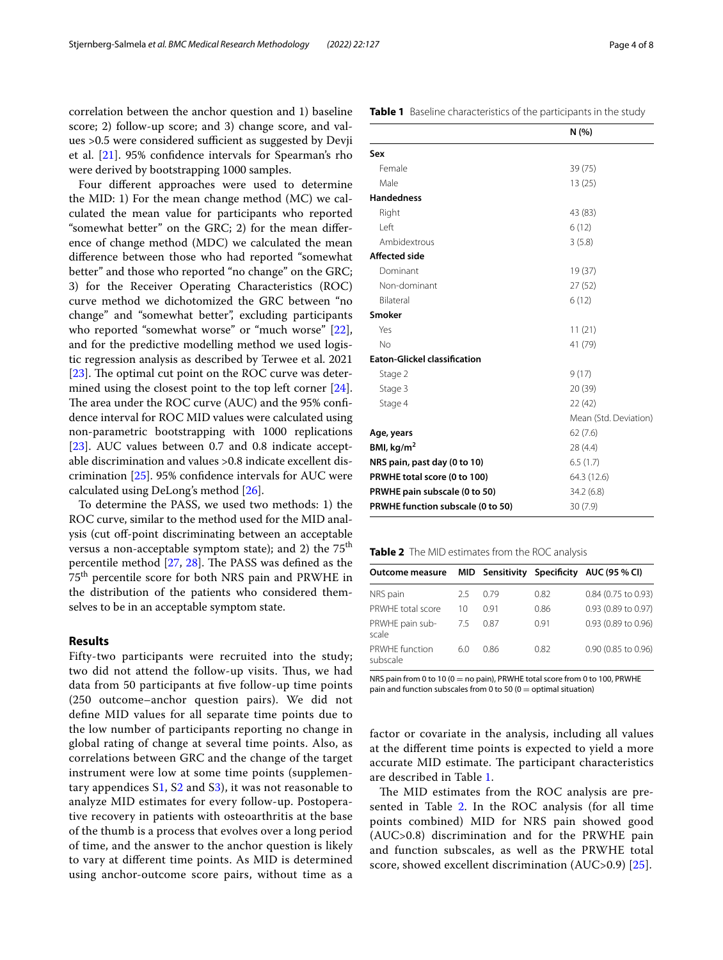correlation between the anchor question and 1) baseline score; 2) follow-up score; and 3) change score, and values  $>0.5$  were considered sufficient as suggested by Devji et al. [\[21](#page-7-10)]. 95% confdence intervals for Spearman's rho were derived by bootstrapping 1000 samples.

Four diferent approaches were used to determine the MID: 1) For the mean change method (MC) we calculated the mean value for participants who reported "somewhat better" on the GRC; 2) for the mean diference of change method (MDC) we calculated the mean diference between those who had reported "somewhat better" and those who reported "no change" on the GRC; 3) for the Receiver Operating Characteristics (ROC) curve method we dichotomized the GRC between "no change" and "somewhat better", excluding participants who reported "somewhat worse" or "much worse" [\[22](#page-7-11)], and for the predictive modelling method we used logistic regression analysis as described by Terwee et al. 2021 [ $23$ ]. The optimal cut point on the ROC curve was determined using the closest point to the top left corner [\[24](#page-7-13)]. The area under the ROC curve (AUC) and the 95% confidence interval for ROC MID values were calculated using non-parametric bootstrapping with 1000 replications [[23\]](#page-7-12). AUC values between 0.7 and 0.8 indicate acceptable discrimination and values >0.8 indicate excellent discrimination [[25\]](#page-7-14). 95% confdence intervals for AUC were calculated using DeLong's method [\[26](#page-7-15)].

To determine the PASS, we used two methods: 1) the ROC curve, similar to the method used for the MID analysis (cut off-point discriminating between an acceptable versus a non-acceptable symptom state); and 2) the 75<sup>th</sup> percentile method  $[27, 28]$  $[27, 28]$  $[27, 28]$ . The PASS was defined as the 75th percentile score for both NRS pain and PRWHE in the distribution of the patients who considered themselves to be in an acceptable symptom state.

# **Results**

Fifty-two participants were recruited into the study; two did not attend the follow-up visits. Thus, we had data from 50 participants at fve follow-up time points (250 outcome–anchor question pairs). We did not defne MID values for all separate time points due to the low number of participants reporting no change in global rating of change at several time points. Also, as correlations between GRC and the change of the target instrument were low at some time points (supplementary appendices  $S_1$ ,  $S_2$  $S_2$  and  $S_3$  $S_3$ ), it was not reasonable to analyze MID estimates for every follow-up. Postoperative recovery in patients with osteoarthritis at the base of the thumb is a process that evolves over a long period of time, and the answer to the anchor question is likely to vary at diferent time points. As MID is determined using anchor-outcome score pairs, without time as a

### <span id="page-3-0"></span>**Table 1** Baseline characteristics of the participants in the study

|                                          | N(%)                  |  |  |
|------------------------------------------|-----------------------|--|--|
| Sex                                      |                       |  |  |
| Female                                   | 39 (75)               |  |  |
| Male                                     | 13(25)                |  |  |
| <b>Handedness</b>                        |                       |  |  |
| Right                                    | 43 (83)               |  |  |
| Left                                     | 6(12)                 |  |  |
| Ambidextrous                             | 3(5.8)                |  |  |
| <b>Affected side</b>                     |                       |  |  |
| Dominant                                 | 19(37)                |  |  |
| Non-dominant                             | 27(52)                |  |  |
| Bilateral                                | 6(12)                 |  |  |
| <b>Smoker</b>                            |                       |  |  |
| Yes                                      | 11(21)                |  |  |
| No                                       | 41 (79)               |  |  |
| <b>Eaton-Glickel classification</b>      |                       |  |  |
| Stage 2                                  | 9(17)                 |  |  |
| Stage 3                                  | 20(39)                |  |  |
| Stage 4                                  | 22(42)                |  |  |
|                                          | Mean (Std. Deviation) |  |  |
| Age, years                               | 62(7.6)               |  |  |
| BMI, $kg/m2$                             | 28 (4.4)              |  |  |
| NRS pain, past day (0 to 10)             | 6.5(1.7)              |  |  |
| PRWHE total score (0 to 100)             | 64.3 (12.6)           |  |  |
| PRWHE pain subscale (0 to 50)            | 34.2 (6.8)            |  |  |
| <b>PRWHE function subscale (0 to 50)</b> | 30(7.9)               |  |  |

<span id="page-3-1"></span>

| Table 2 The MID estimates from the ROC analysis |  |
|-------------------------------------------------|--|
|-------------------------------------------------|--|

| <b>Outcome measure</b>     |    | <b>MID Sensitivity Specificity</b> |      | AUC (95 % CI)         |
|----------------------------|----|------------------------------------|------|-----------------------|
| NRS pain                   | 25 | 0.79                               | 0.82 | $0.84$ (0.75 to 0.93) |
| PRWHE total score          | 10 | O 91                               | 0.86 | 0.93 (0.89 to 0.97)   |
| PRWHE pain sub-<br>scale   | 75 | 0.87                               | 091  | 0.93 (0.89 to 0.96)   |
| PRWHE function<br>subscale | 60 | 0.86                               | 0.82 | 0.90 (0.85 to 0.96)   |

NRS pain from 0 to 10 ( $0 =$  no pain), PRWHE total score from 0 to 100, PRWHE pain and function subscales from 0 to 50  $(0 =$  optimal situation)

factor or covariate in the analysis, including all values at the diferent time points is expected to yield a more accurate MID estimate. The participant characteristics are described in Table [1.](#page-3-0)

The MID estimates from the ROC analysis are pre-sented in Table [2.](#page-3-1) In the ROC analysis (for all time points combined) MID for NRS pain showed good (AUC>0.8) discrimination and for the PRWHE pain and function subscales, as well as the PRWHE total score, showed excellent discrimination (AUC>0.9) [\[25\]](#page-7-14).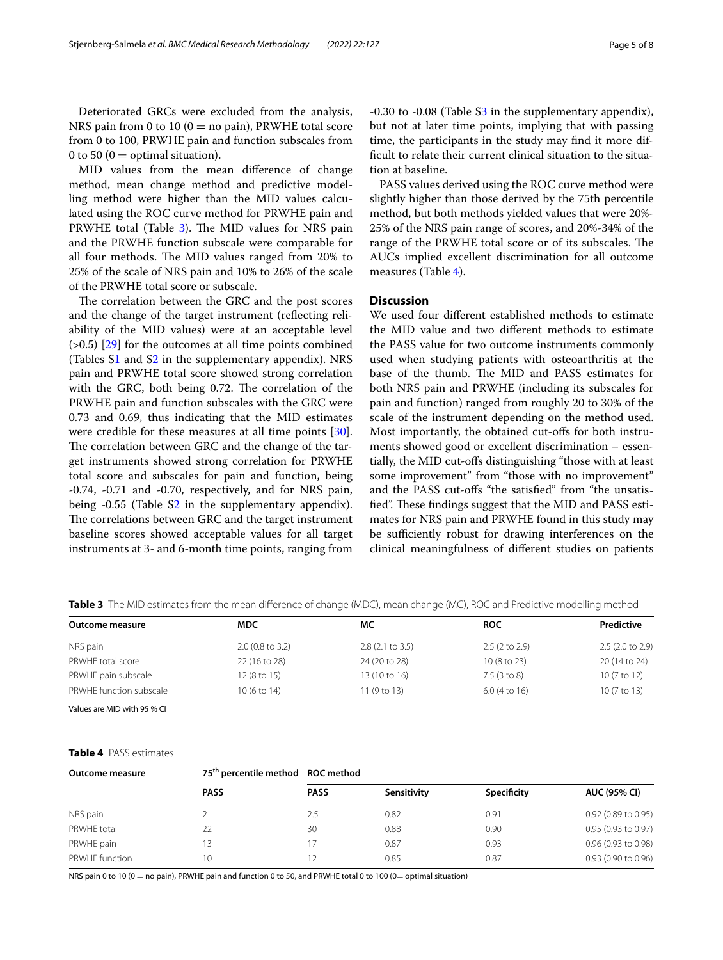Deteriorated GRCs were excluded from the analysis, NRS pain from 0 to 10 ( $0 =$  no pain), PRWHE total score from 0 to 100, PRWHE pain and function subscales from 0 to 50 (0  $=$  optimal situation).

MID values from the mean diference of change method, mean change method and predictive modelling method were higher than the MID values calculated using the ROC curve method for PRWHE pain and PRWHE total (Table [3](#page-4-0)). The MID values for NRS pain and the PRWHE function subscale were comparable for all four methods. The MID values ranged from 20% to 25% of the scale of NRS pain and 10% to 26% of the scale of the PRWHE total score or subscale.

The correlation between the GRC and the post scores and the change of the target instrument (refecting reliability of the MID values) were at an acceptable level  $(0.5)$  [[29\]](#page-7-18) for the outcomes at all time points combined (Tables [S1](#page-6-9) and S[2](#page-6-9) in the supplementary appendix). NRS pain and PRWHE total score showed strong correlation with the GRC, both being 0.72. The correlation of the PRWHE pain and function subscales with the GRC were 0.73 and 0.69, thus indicating that the MID estimates were credible for these measures at all time points [\[30](#page-7-19)]. The correlation between GRC and the change of the target instruments showed strong correlation for PRWHE total score and subscales for pain and function, being -0.74, -0.71 and -0.70, respectively, and for NRS pain, being -0.55 (Table [S2](#page-6-9) in the supplementary appendix). The correlations between GRC and the target instrument baseline scores showed acceptable values for all target instruments at 3- and 6-month time points, ranging from  $-0.30$  $-0.30$  $-0.30$  to  $-0.08$  (Table S<sup>3</sup> in the supplementary appendix), but not at later time points, implying that with passing time, the participants in the study may fnd it more diffcult to relate their current clinical situation to the situation at baseline.

PASS values derived using the ROC curve method were slightly higher than those derived by the 75th percentile method, but both methods yielded values that were 20%- 25% of the NRS pain range of scores, and 20%-34% of the range of the PRWHE total score or of its subscales. The AUCs implied excellent discrimination for all outcome measures (Table [4](#page-4-1)).

# **Discussion**

We used four diferent established methods to estimate the MID value and two diferent methods to estimate the PASS value for two outcome instruments commonly used when studying patients with osteoarthritis at the base of the thumb. The MID and PASS estimates for both NRS pain and PRWHE (including its subscales for pain and function) ranged from roughly 20 to 30% of the scale of the instrument depending on the method used. Most importantly, the obtained cut-ofs for both instruments showed good or excellent discrimination – essentially, the MID cut-ofs distinguishing "those with at least some improvement" from "those with no improvement" and the PASS cut-ofs "the satisfed" from "the unsatisfied". These findings suggest that the MID and PASS estimates for NRS pain and PRWHE found in this study may be sufficiently robust for drawing interferences on the clinical meaningfulness of diferent studies on patients

<span id="page-4-0"></span>**Table 3** The MID estimates from the mean diference of change (MDC), mean change (MC), ROC and Predictive modelling method

| Outcome measure         | <b>MDC</b>         | МC                 | <b>ROC</b>    | Predictive         |
|-------------------------|--------------------|--------------------|---------------|--------------------|
| NRS pain                | $2.0$ (0.8 to 3.2) | $2.8$ (2.1 to 3.5) | 2.5(2 to 2.9) | $2.5$ (2.0 to 2.9) |
| PRWHE total score       | 22 (16 to 28)      | 24 (20 to 28)      | 10 (8 to 23)  | 20 (14 to 24)      |
| PRWHE pain subscale     | 12 (8 to 15)       | 13 (10 to 16)      | 7.5 (3 to 8)  | 10 (7 to 12)       |
| PRWHE function subscale | 10 (6 to 14)       | 11 (9 to 13)       | 6.0(4 to 16)  | 10 (7 to 13)       |

Values are MID with 95 % CI

## <span id="page-4-1"></span>**Table 4** PASS estimates

| Outcome measure | 75 <sup>th</sup> percentile method ROC method |             |             |             |                     |
|-----------------|-----------------------------------------------|-------------|-------------|-------------|---------------------|
|                 | <b>PASS</b>                                   | <b>PASS</b> | Sensitivity | Specificity | <b>AUC (95% CI)</b> |
| NRS pain        |                                               | 2.5         | 0.82        | 0.91        | 0.92 (0.89 to 0.95) |
| PRWHE total     |                                               | 30          | 0.88        | 0.90        | 0.95 (0.93 to 0.97) |
| PRWHE pain      | 3                                             |             | 0.87        | 0.93        | 0.96 (0.93 to 0.98) |
| PRWHE function  | 10                                            |             | 0.85        | 0.87        | 0.93 (0.90 to 0.96) |

NRS pain 0 to 10 (0 = no pain), PRWHE pain and function 0 to 50, and PRWHE total 0 to 100 (0 = optimal situation)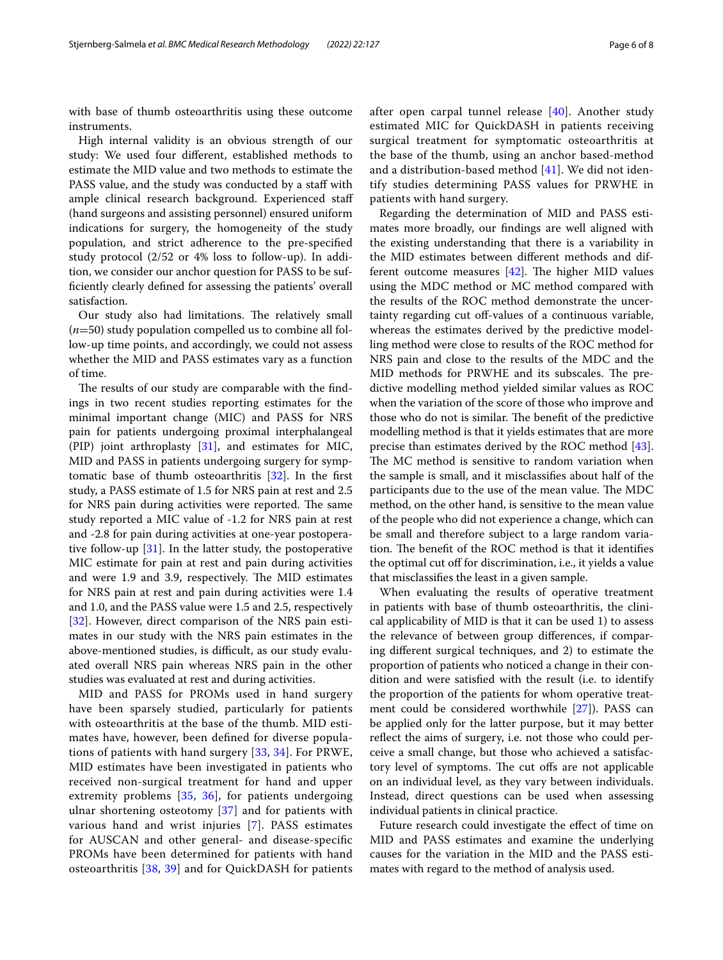with base of thumb osteoarthritis using these outcome instruments.

High internal validity is an obvious strength of our study: We used four diferent, established methods to estimate the MID value and two methods to estimate the PASS value, and the study was conducted by a staff with ample clinical research background. Experienced staf (hand surgeons and assisting personnel) ensured uniform indications for surgery, the homogeneity of the study population, and strict adherence to the pre-specifed study protocol (2/52 or 4% loss to follow-up). In addition, we consider our anchor question for PASS to be suffciently clearly defned for assessing the patients' overall satisfaction.

Our study also had limitations. The relatively small (*n*=50) study population compelled us to combine all follow-up time points, and accordingly, we could not assess whether the MID and PASS estimates vary as a function of time.

The results of our study are comparable with the findings in two recent studies reporting estimates for the minimal important change (MIC) and PASS for NRS pain for patients undergoing proximal interphalangeal (PIP) joint arthroplasty  $[31]$ , and estimates for MIC, MID and PASS in patients undergoing surgery for symptomatic base of thumb osteoarthritis [\[32](#page-7-21)]. In the frst study, a PASS estimate of 1.5 for NRS pain at rest and 2.5 for NRS pain during activities were reported. The same study reported a MIC value of -1.2 for NRS pain at rest and -2.8 for pain during activities at one-year postoperative follow-up [[31\]](#page-7-20). In the latter study, the postoperative MIC estimate for pain at rest and pain during activities and were 1.9 and 3.9, respectively. The MID estimates for NRS pain at rest and pain during activities were 1.4 and 1.0, and the PASS value were 1.5 and 2.5, respectively [[32\]](#page-7-21). However, direct comparison of the NRS pain estimates in our study with the NRS pain estimates in the above-mentioned studies, is difficult, as our study evaluated overall NRS pain whereas NRS pain in the other studies was evaluated at rest and during activities.

MID and PASS for PROMs used in hand surgery have been sparsely studied, particularly for patients with osteoarthritis at the base of the thumb. MID estimates have, however, been defned for diverse populations of patients with hand surgery [[33](#page-7-22), [34](#page-7-23)]. For PRWE, MID estimates have been investigated in patients who received non-surgical treatment for hand and upper extremity problems [\[35](#page-7-24), [36\]](#page-7-25), for patients undergoing ulnar shortening osteotomy [[37\]](#page-7-26) and for patients with various hand and wrist injuries [[7](#page-6-5)]. PASS estimates for AUSCAN and other general- and disease-specifc PROMs have been determined for patients with hand osteoarthritis [[38](#page-7-27), [39\]](#page-7-28) and for QuickDASH for patients after open carpal tunnel release [\[40](#page-7-29)]. Another study estimated MIC for QuickDASH in patients receiving surgical treatment for symptomatic osteoarthritis at the base of the thumb, using an anchor based-method and a distribution-based method [[41](#page-7-30)]. We did not identify studies determining PASS values for PRWHE in patients with hand surgery.

Regarding the determination of MID and PASS estimates more broadly, our fndings are well aligned with the existing understanding that there is a variability in the MID estimates between diferent methods and different outcome measures  $[42]$  $[42]$ . The higher MID values using the MDC method or MC method compared with the results of the ROC method demonstrate the uncertainty regarding cut off-values of a continuous variable, whereas the estimates derived by the predictive modelling method were close to results of the ROC method for NRS pain and close to the results of the MDC and the MID methods for PRWHE and its subscales. The predictive modelling method yielded similar values as ROC when the variation of the score of those who improve and those who do not is similar. The benefit of the predictive modelling method is that it yields estimates that are more precise than estimates derived by the ROC method  $[43]$  $[43]$ . The MC method is sensitive to random variation when the sample is small, and it misclassifes about half of the participants due to the use of the mean value. The MDC method, on the other hand, is sensitive to the mean value of the people who did not experience a change, which can be small and therefore subject to a large random variation. The benefit of the ROC method is that it identifies the optimal cut off for discrimination, i.e., it yields a value that misclassifes the least in a given sample.

When evaluating the results of operative treatment in patients with base of thumb osteoarthritis, the clinical applicability of MID is that it can be used 1) to assess the relevance of between group diferences, if comparing diferent surgical techniques, and 2) to estimate the proportion of patients who noticed a change in their condition and were satisfed with the result (i.e. to identify the proportion of the patients for whom operative treatment could be considered worthwhile [[27\]](#page-7-16)). PASS can be applied only for the latter purpose, but it may better refect the aims of surgery, i.e. not those who could perceive a small change, but those who achieved a satisfactory level of symptoms. The cut offs are not applicable on an individual level, as they vary between individuals. Instead, direct questions can be used when assessing individual patients in clinical practice.

Future research could investigate the efect of time on MID and PASS estimates and examine the underlying causes for the variation in the MID and the PASS estimates with regard to the method of analysis used.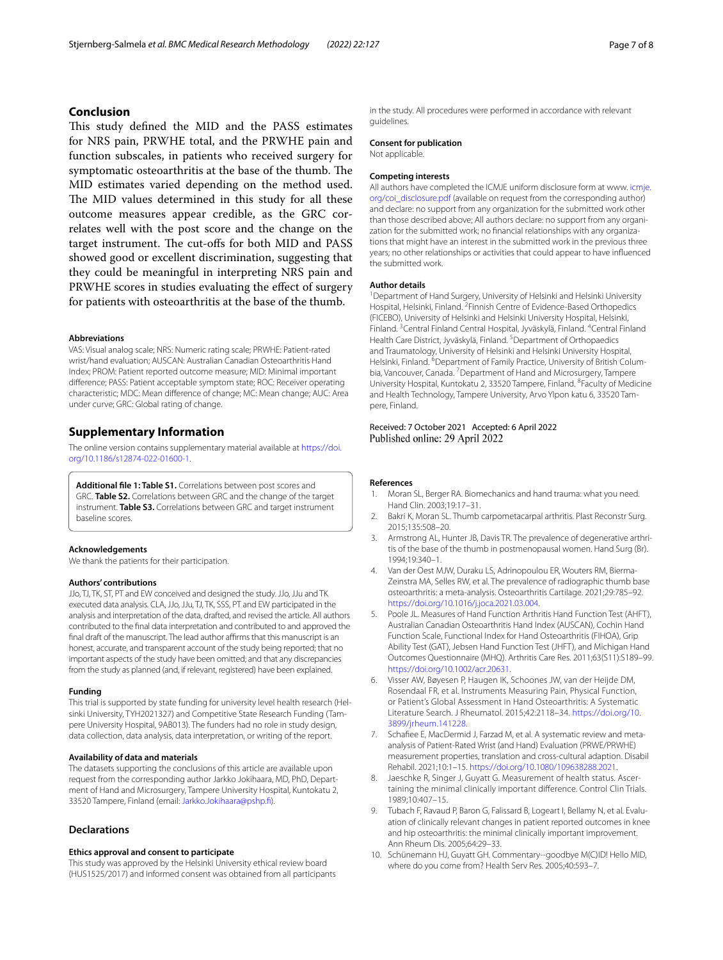# **Conclusion**

This study defined the MID and the PASS estimates for NRS pain, PRWHE total, and the PRWHE pain and function subscales, in patients who received surgery for symptomatic osteoarthritis at the base of the thumb. The MID estimates varied depending on the method used. The MID values determined in this study for all these outcome measures appear credible, as the GRC correlates well with the post score and the change on the target instrument. The cut-offs for both MID and PASS showed good or excellent discrimination, suggesting that they could be meaningful in interpreting NRS pain and PRWHE scores in studies evaluating the effect of surgery for patients with osteoarthritis at the base of the thumb.

#### **Abbreviations**

VAS: Visual analog scale; NRS: Numeric rating scale; PRWHE: Patient-rated wrist/hand evaluation; AUSCAN: Australian Canadian Osteoarthritis Hand Index; PROM: Patient reported outcome measure; MID: Minimal important diference; PASS: Patient acceptable symptom state; ROC: Receiver operating characteristic; MDC: Mean diference of change; MC: Mean change; AUC: Area under curve; GRC: Global rating of change.

# **Supplementary Information**

The online version contains supplementary material available at [https://doi.](https://doi.org/10.1186/s12874-022-01600-1) [org/10.1186/s12874-022-01600-1](https://doi.org/10.1186/s12874-022-01600-1).

<span id="page-6-9"></span>**Additional fle 1: Table S1.** Correlations between post scores and GRC. **Table S2.** Correlations between GRC and the change of the target instrument. **Table S3.** Correlations between GRC and target instrument baseline scores.

#### **Acknowledgements**

We thank the patients for their participation.

#### **Authors' contributions**

JJo, TJ, TK, ST, PT and EW conceived and designed the study. JJo, JJu and TK executed data analysis. CLA, JJo, JJu, TJ, TK, SSS, PT and EW participated in the analysis and interpretation of the data, drafted, and revised the article. All authors contributed to the fnal data interpretation and contributed to and approved the final draft of the manuscript. The lead author affirms that this manuscript is an honest, accurate, and transparent account of the study being reported; that no important aspects of the study have been omitted; and that any discrepancies from the study as planned (and, if relevant, registered) have been explained.

#### **Funding**

This trial is supported by state funding for university level health research (Helsinki University, TYH2021327) and Competitive State Research Funding (Tampere University Hospital, 9AB013). The funders had no role in study design, data collection, data analysis, data interpretation, or writing of the report.

#### **Availability of data and materials**

The datasets supporting the conclusions of this article are available upon request from the corresponding author Jarkko Jokihaara, MD, PhD, Department of Hand and Microsurgery, Tampere University Hospital, Kuntokatu 2, 33520 Tampere, Finland (email: [Jarkko.Jokihaara@pshp.f](Jarkko.Jokihaara@pshp.fi)).

# **Declarations**

### **Ethics approval and consent to participate**

This study was approved by the Helsinki University ethical review board (HUS1525/2017) and informed consent was obtained from all participants in the study. All procedures were performed in accordance with relevant guidelines.

# **Consent for publication**

Not applicable.

#### **Competing interests**

All authors have completed the ICMJE uniform disclosure form at www. [icmje.](http://icmje.org/coi_disclosure.pdf) [org/coi\\_disclosure.pdf](http://icmje.org/coi_disclosure.pdf) (available on request from the corresponding author) and declare: no support from any organization for the submitted work other than those described above; All authors declare: no support from any organization for the submitted work; no financial relationships with any organizations that might have an interest in the submitted work in the previous three years; no other relationships or activities that could appear to have infuenced the submitted work.

#### **Author details**

<sup>1</sup> Department of Hand Surgery, University of Helsinki and Helsinki University Hospital, Helsinki, Finland. <sup>2</sup> Finnish Centre of Evidence-Based Orthopedics (FICEBO), University of Helsinki and Helsinki University Hospital, Helsinki, Finland. <sup>3</sup> Central Finland Central Hospital, Jyväskylä, Finland. <sup>4</sup> Central Finland Health Care District, Jyväskylä, Finland.<sup>5</sup> Department of Orthopaedics and Traumatology, University of Helsinki and Helsinki University Hospital, Helsinki, Finland. <sup>6</sup> Department of Family Practice, University of British Columbia, Vancouver, Canada. <sup>7</sup> Department of Hand and Microsurgery, Tampere University Hospital, Kuntokatu 2, 33520 Tampere, Finland. <sup>8</sup> Faculty of Medicine and Health Technology, Tampere University, Arvo Ylpon katu 6, 33520 Tampere, Finland.

Received: 7 October 2021 Accepted: 6 April 2022

# **References**

- <span id="page-6-0"></span>1. Moran SL, Berger RA. Biomechanics and hand trauma: what you need. Hand Clin. 2003;19:17–31.
- <span id="page-6-1"></span>2. Bakri K, Moran SL. Thumb carpometacarpal arthritis. Plast Reconstr Surg. 2015;135:508–20.
- <span id="page-6-2"></span>3. Armstrong AL, Hunter JB, Davis TR. The prevalence of degenerative arthritis of the base of the thumb in postmenopausal women. Hand Surg (Br). 1994;19:340–1.
- <span id="page-6-3"></span>4. Van der Oest MJW, Duraku LS, Adrinopoulou ER, Wouters RM, Bierma-Zeinstra MA, Selles RW, et al. The prevalence of radiographic thumb base osteoarthritis: a meta-analysis. Osteoarthritis Cartilage. 2021;29:785–92. [https://doi.org/10.1016/j.joca.2021.03.004.](https://doi.org/10.1016/j.joca.2021.03.004)
- <span id="page-6-4"></span>5. Poole JL. Measures of Hand Function Arthritis Hand Function Test (AHFT), Australian Canadian Osteoarthritis Hand Index (AUSCAN), Cochin Hand Function Scale, Functional Index for Hand Osteoarthritis (FIHOA), Grip Ability Test (GAT), Jebsen Hand Function Test (JHFT), and Michigan Hand Outcomes Questionnaire (MHQ). Arthritis Care Res. 2011;63(S11):S189–99. [https://doi.org/10.1002/acr.20631.](https://doi.org/10.1002/acr.20631)
- 6. Visser AW, Bøyesen P, Haugen IK, Schoones JW, van der Heijde DM, Rosendaal FR, et al. Instruments Measuring Pain, Physical Function, or Patient's Global Assessment in Hand Osteoarthritis: A Systematic Literature Search. J Rheumatol. 2015;42:2118–34. [https://doi.org/10.](https://doi.org/10.3899/jrheum.141228) [3899/jrheum.141228.](https://doi.org/10.3899/jrheum.141228)
- <span id="page-6-5"></span>7. Schafee E, MacDermid J, Farzad M, et al. A systematic review and metaanalysis of Patient-Rated Wrist (and Hand) Evaluation (PRWE/PRWHE) measurement properties, translation and cross-cultural adaption. Disabil Rehabil. 2021;10:1–15. [https://doi.org/10.1080/109638288.2021.](https://doi.org/10.1080/109638288.2021)
- <span id="page-6-6"></span>8. Jaeschke R, Singer J, Guyatt G. Measurement of health status. Ascertaining the minimal clinically important diference. Control Clin Trials. 1989;10:407–15.
- <span id="page-6-7"></span>9. Tubach F, Ravaud P, Baron G, Falissard B, Logeart I, Bellamy N, et al. Evaluation of clinically relevant changes in patient reported outcomes in knee and hip osteoarthritis: the minimal clinically important improvement. Ann Rheum Dis. 2005;64:29–33.
- <span id="page-6-8"></span>10. Schünemann HJ, Guyatt GH. Commentary--goodbye M(C)ID! Hello MID, where do you come from? Health Serv Res. 2005;40:593–7.